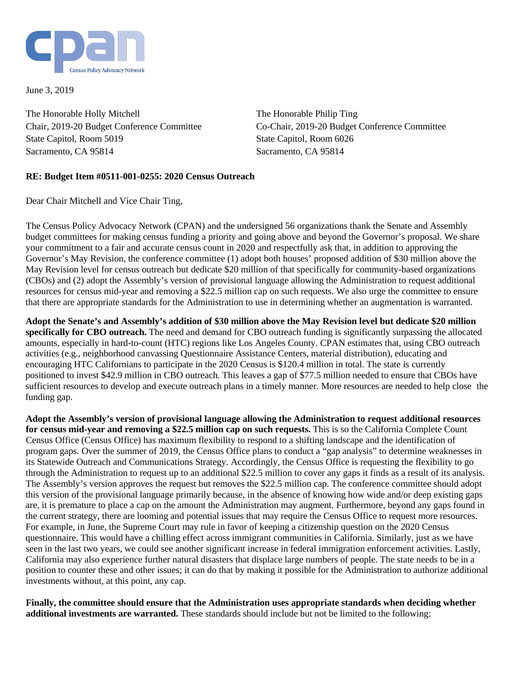

June 3, 2019

The Honorable Holly Mitchell Chair, 2019-20 Budget Conference Committee State Capitol, Room 5019 Sacramento, CA 95814

The Honorable Philip Ting Co-Chair, 2019-20 Budget Conference Committee State Capitol, Room 6026 Sacramento, CA 95814

## **RE: Budget Item #0511-001-0255: 2020 Census Outreach**

Dear Chair Mitchell and Vice Chair Ting,

The Census Policy Advocacy Network (CPAN) and the undersigned 56 organizations thank the Senate and Assembly budget committees for making census funding a priority and going above and beyond the Governor's proposal. We share your commitment to a fair and accurate census count in 2020 and respectfully ask that, in addition to approving the Governor's May Revision, the conference committee (1) adopt both houses' proposed addition of \$30 million above the May Revision level for census outreach but dedicate \$20 million of that specifically for community-based organizations (CBOs) and (2) adopt the Assembly's version of provisional language allowing the Administration to request additional resources for census mid-year and removing a \$22.5 million cap on such requests. We also urge the committee to ensure that there are appropriate standards for the Administration to use in determining whether an augmentation is warranted.

**Adopt the Senate's and Assembly's addition of \$30 million above the May Revision level but dedicate \$20 million specifically for CBO outreach.** The need and demand for CBO outreach funding is significantly surpassing the allocated amounts, especially in hard-to-count (HTC) regions like Los Angeles County. CPAN estimates that, using CBO outreach activities (e.g., neighborhood canvassing Questionnaire Assistance Centers, material distribution), educating and encouraging HTC Californians to participate in the 2020 Census is \$120.4 million in total. The state is currently positioned to invest \$42.9 million in CBO outreach. This leaves a gap of \$77.5 million needed to ensure that CBOs have sufficient resources to develop and execute outreach plans in a timely manner. More resources are needed to help close the funding gap.

**Adopt the Assembly's version of provisional language allowing the Administration to request additional resources for census mid-year and removing a \$22.5 million cap on such requests.** This is so the California Complete Count Census Office (Census Office) has maximum flexibility to respond to a shifting landscape and the identification of program gaps. Over the summer of 2019, the Census Office plans to conduct a "gap analysis" to determine weaknesses in its Statewide Outreach and Communications Strategy. Accordingly, the Census Office is requesting the flexibility to go through the Administration to request up to an additional \$22.5 million to cover any gaps it finds as a result of its analysis. The Assembly's version approves the request but removes the \$22.5 million cap. The conference committee should adopt this version of the provisional language primarily because, in the absence of knowing how wide and/or deep existing gaps are, it is premature to place a cap on the amount the Administration may augment. Furthermore, beyond any gaps found in the current strategy, there are looming and potential issues that may require the Census Office to request more resources. For example, in June, the Supreme Court may rule in favor of keeping a citizenship question on the 2020 Census questionnaire. This would have a chilling effect across immigrant communities in California. Similarly, just as we have seen in the last two years, we could see another significant increase in federal immigration enforcement activities. Lastly, California may also experience further natural disasters that displace large numbers of people. The state needs to be in a position to counter these and other issues; it can do that by making it possible for the Administration to authorize additional investments without, at this point, any cap.

**Finally, the committee should ensure that the Administration uses appropriate standards when deciding whether additional investments are warranted.** These standards should include but not be limited to the following: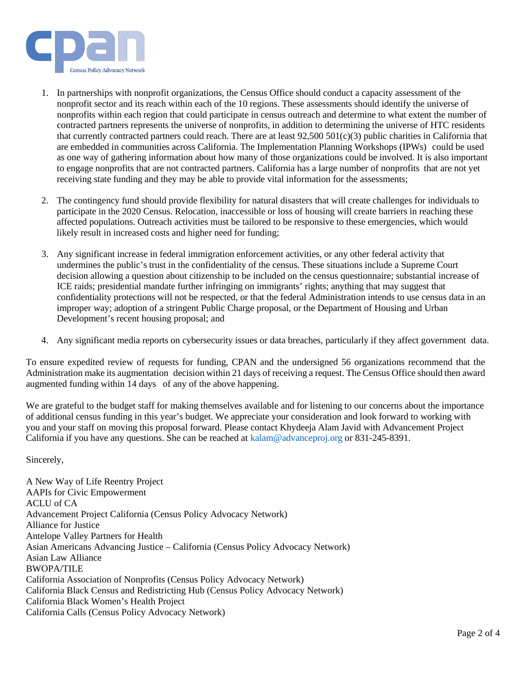

- 1. In partnerships with nonprofit organizations, the Census Office should conduct a capacity assessment of the nonprofit sector and its reach within each of the 10 regions. These assessments should identify the universe of nonprofits within each region that could participate in census outreach and determine to what extent the number of contracted partners represents the universe of nonprofits, in addition to determining the universe of HTC residents that currently contracted partners could reach. There are at least  $92,500,501(c)(3)$  public charities in California that are embedded in communities across California. The Implementation Planning Workshops (IPWs) could be used as one way of gathering information about how many of those organizations could be involved. It is also important to engage nonprofits that are not contracted partners. California has a large number of nonprofits that are not yet receiving state funding and they may be able to provide vital information for the assessments;
- 2. The contingency fund should provide flexibility for natural disasters that will create challenges for individuals to participate in the 2020 Census. Relocation, inaccessible or loss of housing will create barriers in reaching these affected populations. Outreach activities must be tailored to be responsive to these emergencies, which would likely result in increased costs and higher need for funding;
- 3. Any significant increase in federal immigration enforcement activities, or any other federal activity that undermines the public's trust in the confidentiality of the census. These situations include a Supreme Court decision allowing a question about citizenship to be included on the census questionnaire; substantial increase of ICE raids; presidential mandate further infringing on immigrants' rights; anything that may suggest that confidentiality protections will not be respected, or that the federal Administration intends to use census data in an improper way; adoption of a stringent Public Charge proposal, or the Department of Housing and Urban Development's recent housing proposal; and
- 4. Any significant media reports on cybersecurity issues or data breaches, particularly if they affect government data.

To ensure expedited review of requests for funding, CPAN and the undersigned 56 organizations recommend that the Administration make its augmentation decision within 21 days of receiving a request. The Census Office should then award augmented funding within 14 days of any of the above happening.

We are grateful to the budget staff for making themselves available and for listening to our concerns about the importance of additional census funding in this year's budget. We appreciate your consideration and look forward to working with you and your staff on moving this proposal forward. Please contact Khydeeja Alam Javid with Advancement Project California if you have any questions. She can be reached at [kalam@advanceproj.org](mailto:kalam@advanceproj.org) or 831-245-8391.

Sincerely,

A New Way of Life Reentry Project AAPIs for Civic Empowerment ACLU of CA Advancement Project California (Census Policy Advocacy Network) Alliance for Justice Antelope Valley Partners for Health Asian Americans Advancing Justice – California (Census Policy Advocacy Network) Asian Law Alliance BWOPA/TILE California Association of Nonprofits (Census Policy Advocacy Network) California Black Census and Redistricting Hub (Census Policy Advocacy Network) California Black Women's Health Project California Calls (Census Policy Advocacy Network)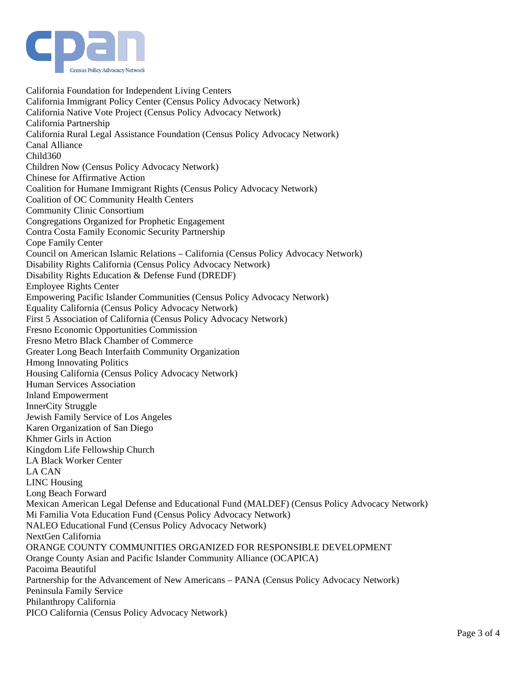

California Foundation for Independent Living Centers California Immigrant Policy Center (Census Policy Advocacy Network) California Native Vote Project (Census Policy Advocacy Network) California Partnership California Rural Legal Assistance Foundation (Census Policy Advocacy Network) Canal Alliance Child360 Children Now (Census Policy Advocacy Network) Chinese for Affirmative Action Coalition for Humane Immigrant Rights (Census Policy Advocacy Network) Coalition of OC Community Health Centers Community Clinic Consortium Congregations Organized for Prophetic Engagement Contra Costa Family Economic Security Partnership Cope Family Center Council on American Islamic Relations – California (Census Policy Advocacy Network) Disability Rights California (Census Policy Advocacy Network) Disability Rights Education & Defense Fund (DREDF) Employee Rights Center Empowering Pacific Islander Communities (Census Policy Advocacy Network) Equality California (Census Policy Advocacy Network) First 5 Association of California (Census Policy Advocacy Network) Fresno Economic Opportunities Commission Fresno Metro Black Chamber of Commerce Greater Long Beach Interfaith Community Organization Hmong Innovating Politics Housing California (Census Policy Advocacy Network) Human Services Association Inland Empowerment InnerCity Struggle Jewish Family Service of Los Angeles Karen Organization of San Diego Khmer Girls in Action Kingdom Life Fellowship Church LA Black Worker Center LA CAN LINC Housing Long Beach Forward Mexican American Legal Defense and Educational Fund (MALDEF) (Census Policy Advocacy Network) Mi Familia Vota Education Fund (Census Policy Advocacy Network) NALEO Educational Fund (Census Policy Advocacy Network) NextGen California ORANGE COUNTY COMMUNITIES ORGANIZED FOR RESPONSIBLE DEVELOPMENT Orange County Asian and Pacific Islander Community Alliance (OCAPICA) Pacoima Beautiful Partnership for the Advancement of New Americans – PANA (Census Policy Advocacy Network) Peninsula Family Service Philanthropy California PICO California (Census Policy Advocacy Network)